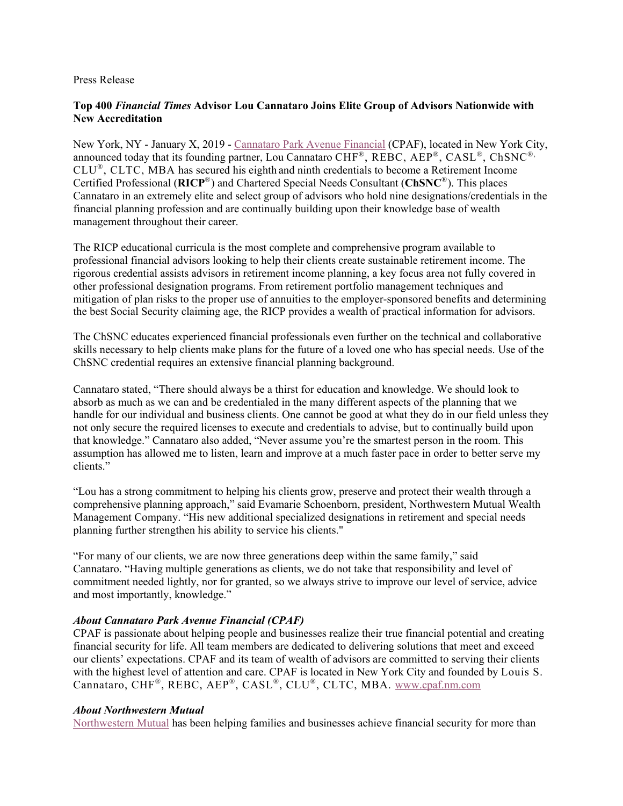## Press Release

## **Top 400** *Financial Times* **Advisor Lou Cannataro Joins Elite Group of Advisors Nationwide with New Accreditation**

New York, NY - January X, 2019 - [Cannataro Park Avenue Financial](http://www.cpaf.nm.com/) (CPAF), located in New York City, announced today that its founding partner, Lou Cannataro CHF®, REBC, AEP®, CASL®, ChSNC®, CLU®, CLTC, MBA has secured his eighth and ninth credentials to become a Retirement Income Certified Professional (**RICP**®) and Chartered Special Needs Consultant (**ChSNC**®). This places Cannataro in an extremely elite and select group of advisors who hold nine designations/credentials in the financial planning profession and are continually building upon their knowledge base of wealth management throughout their career.

The RICP educational curricula is the most complete and comprehensive program available to professional financial advisors looking to help their clients create sustainable retirement income. The rigorous credential assists advisors in retirement income planning, a key focus area not fully covered in other professional designation programs. From retirement portfolio management techniques and mitigation of plan risks to the proper use of annuities to the employer-sponsored benefits and determining the best Social Security claiming age, the RICP provides a wealth of practical information for advisors.

The ChSNC educates experienced financial professionals even further on the technical and collaborative skills necessary to help clients make plans for the future of a loved one who has special needs. Use of the ChSNC credential requires an extensive financial planning background.

Cannataro stated, "There should always be a thirst for education and knowledge. We should look to absorb as much as we can and be credentialed in the many different aspects of the planning that we handle for our individual and business clients. One cannot be good at what they do in our field unless they not only secure the required licenses to execute and credentials to advise, but to continually build upon that knowledge." Cannataro also added, "Never assume you're the smartest person in the room. This assumption has allowed me to listen, learn and improve at a much faster pace in order to better serve my clients."

"Lou has a strong commitment to helping his clients grow, preserve and protect their wealth through a comprehensive planning approach," said Evamarie Schoenborn, president, Northwestern Mutual Wealth Management Company. "His new additional specialized designations in retirement and special needs planning further strengthen his ability to service his clients."

"For many of our clients, we are now three generations deep within the same family," said Cannataro. "Having multiple generations as clients, we do not take that responsibility and level of commitment needed lightly, nor for granted, so we always strive to improve our level of service, advice and most importantly, knowledge."

## *About Cannataro Park Avenue Financial (CPAF)*

CPAF is passionate about helping people and businesses realize their true financial potential and creating financial security for life. All team members are dedicated to delivering solutions that meet and exceed our clients' expectations. CPAF and its team of wealth of advisors are committed to serving their clients with the highest level of attention and care. CPAF is located in New York City and founded by Louis S. Cannataro, CHF®, REBC, AEP®, CASL®, CLU®, CLTC, MBA. [www.cpaf.nm.com](http://www.cpaf.nm.com/)

## *About Northwestern Mutual*

[Northwestern Mutual](https://www.northwesternmutual.com/) has been helping families and businesses achieve financial security for more than